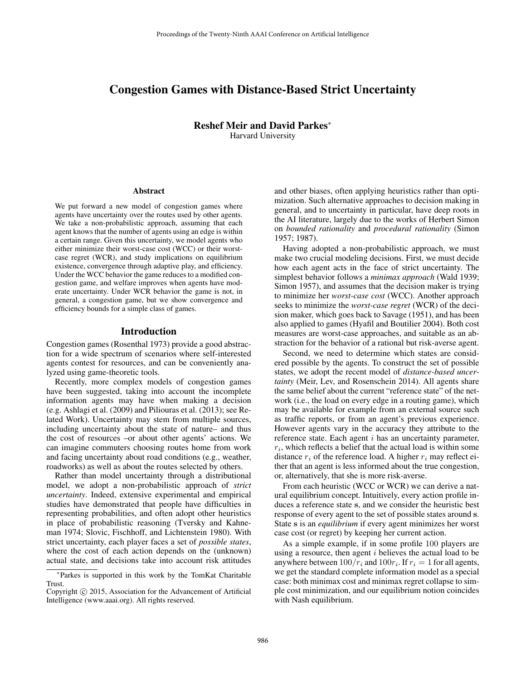# Congestion Games with Distance-Based Strict Uncertainty

Reshef Meir and David Parkes<sup>∗</sup> Harvard University

#### **Abstract**

We put forward a new model of congestion games where agents have uncertainty over the routes used by other agents. We take a non-probabilistic approach, assuming that each agent knows that the number of agents using an edge is within a certain range. Given this uncertainty, we model agents who either minimize their worst-case cost (WCC) or their worstcase regret (WCR), and study implications on equilibrium existence, convergence through adaptive play, and efficiency. Under the WCC behavior the game reduces to a modified congestion game, and welfare improves when agents have moderate uncertainty. Under WCR behavior the game is not, in general, a congestion game, but we show convergence and efficiency bounds for a simple class of games.

### Introduction

Congestion games (Rosenthal 1973) provide a good abstraction for a wide spectrum of scenarios where self-interested agents contest for resources, and can be conveniently analyzed using game-theoretic tools.

Recently, more complex models of congestion games have been suggested, taking into account the incomplete information agents may have when making a decision (e.g. Ashlagi et al. (2009) and Piliouras et al. (2013); see Related Work). Uncertainty may stem from multiple sources, including uncertainty about the state of nature– and thus the cost of resources –or about other agents' actions. We can imagine commuters choosing routes home from work and facing uncertainty about road conditions (e.g., weather, roadworks) as well as about the routes selected by others.

Rather than model uncertainty through a distributional model, we adopt a non-probabilistic approach of *strict uncertainty*. Indeed, extensive experimental and empirical studies have demonstrated that people have difficulties in representing probabilities, and often adopt other heuristics in place of probabilistic reasoning (Tversky and Kahneman 1974; Slovic, Fischhoff, and Lichtenstein 1980). With strict uncertainty, each player faces a set of *possible states*, where the cost of each action depends on the (unknown) actual state, and decisions take into account risk attitudes

and other biases, often applying heuristics rather than optimization. Such alternative approaches to decision making in general, and to uncertainty in particular, have deep roots in the AI literature, largely due to the works of Herbert Simon on *bounded rationality* and *procedural rationality* (Simon 1957; 1987).

Having adopted a non-probabilistic approach, we must make two crucial modeling decisions. First, we must decide how each agent acts in the face of strict uncertainty. The simplest behavior follows a *minimax approach* (Wald 1939; Simon 1957), and assumes that the decision maker is trying to minimize her *worst-case cost* (WCC). Another approach seeks to minimize the *worst-case regret* (WCR) of the decision maker, which goes back to Savage (1951), and has been also applied to games (Hyafil and Boutilier 2004). Both cost measures are worst-case approaches, and suitable as an abstraction for the behavior of a rational but risk-averse agent.

Second, we need to determine which states are considered possible by the agents. To construct the set of possible states, we adopt the recent model of *distance-based uncertainty* (Meir, Lev, and Rosenschein 2014). All agents share the same belief about the current "reference state" of the network (i.e., the load on every edge in a routing game), which may be available for example from an external source such as traffic reports, or from an agent's previous experience. However agents vary in the accuracy they attribute to the reference state. Each agent  $i$  has an uncertainty parameter,  $r_i$ , which reflects a belief that the actual load is within some distance  $r_i$  of the reference load. A higher  $r_i$  may reflect either that an agent is less informed about the true congestion, or, alternatively, that she is more risk-averse.

From each heuristic (WCC or WCR) we can derive a natural equilibrium concept. Intuitively, every action profile induces a reference state s, and we consider the heuristic best response of every agent to the set of possible states around s. State s is an *equilibrium* if every agent minimizes her worst case cost (or regret) by keeping her current action.

As a simple example, if in some profile 100 players are using a resource, then agent  $i$  believes the actual load to be anywhere between  $100/r_i$  and  $100r_i$ . If  $r_i = 1$  for all agents, we get the standard complete information model as a special case: both minimax cost and minimax regret collapse to simple cost minimization, and our equilibrium notion coincides with Nash equilibrium.

<sup>∗</sup> Parkes is supported in this work by the TomKat Charitable Trust.

Copyright (c) 2015, Association for the Advancement of Artificial Intelligence (www.aaai.org). All rights reserved.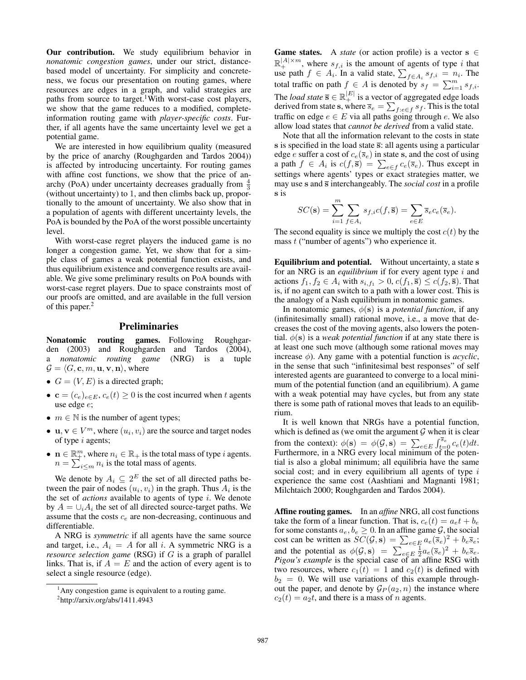Our contribution. We study equilibrium behavior in *nonatomic congestion games*, under our strict, distancebased model of uncertainty. For simplicity and concreteness, we focus our presentation on routing games, where resources are edges in a graph, and valid strategies are paths from source to target.<sup>1</sup>With worst-case cost players, we show that the game reduces to a modified, completeinformation routing game with *player-specific costs*. Further, if all agents have the same uncertainty level we get a potential game.

We are interested in how equilibrium quality (measured by the price of anarchy (Roughgarden and Tardos 2004)) is affected by introducing uncertainty. For routing games with affine cost functions, we show that the price of anarchy (PoA) under uncertainty decreases gradually from  $\frac{4}{3}$ (without uncertainty) to 1, and then climbs back up, proportionally to the amount of uncertainty. We also show that in a population of agents with different uncertainty levels, the PoA is bounded by the PoA of the worst possible uncertainty level.

With worst-case regret players the induced game is no longer a congestion game. Yet, we show that for a simple class of games a weak potential function exists, and thus equilibrium existence and convergence results are available. We give some preliminary results on PoA bounds with worst-case regret players. Due to space constraints most of our proofs are omitted, and are available in the full version of this paper.<sup>2</sup>

### Preliminaries

Nonatomic routing games. Following Roughgarden (2003) and Roughgarden and Tardos (2004), a *nonatomic routing game* (NRG) is a tuple  $\mathcal{G} = \langle G, \mathbf{c}, m, \mathbf{u}, \mathbf{v}, \mathbf{n} \rangle$ , where

- $G = (V, E)$  is a directed graph;
- $\mathbf{c} = (c_e)_{e \in E}, c_e(t) \geq 0$  is the cost incurred when t agents use edge e;
- $m \in \mathbb{N}$  is the number of agent types;
- **u**,  $v \in V^m$ , where  $(u_i, v_i)$  are the source and target nodes of type i agents;
- $\mathbf{n} \in \mathbb{R}_+^m$ , where  $n_i \in \mathbb{R}_+$  is the total mass of type *i* agents.  $n = \sum_{i \le m} n_i$  is the total mass of agents.

We denote by  $A_i \subseteq 2^E$  the set of all directed paths between the pair of nodes  $(u_i, v_i)$  in the graph. Thus  $A_i$  is the the set of *actions* available to agents of type i. We denote by  $A = \bigcup_i A_i$  the set of all directed source-target paths. We assume that the costs  $c_e$  are non-decreasing, continuous and differentiable.

A NRG is *symmetric* if all agents have the same source and target, i.e.,  $A_i = A$  for all i. A symmetric NRG is a *resource selection game* (RSG) if G is a graph of parallel links. That is, if  $A = E$  and the action of every agent is to select a single resource (edge).

**Game states.** A *state* (or action profile) is a vector  $s \in \mathbb{R}$  $\mathbb{R}^{|A| \times m}_+$ , where  $s_{f,i}$  is the amount of agents of type i that use path  $f \in A_i$ . In a valid state,  $\sum_{f \in A_i} s_{f,i} = n_i$ . The total traffic on path  $f \in A$  is denoted by  $s_f = \sum_{i=1}^m s_{f,i}$ . The *load state*  $\overline{s} \in \mathbb{R}_+^{|E|}$  is a vector of aggregated edge loads derived from state s, where  $\overline{s}_e = \sum_{f: e \in f} s_f$ . This is the total traffic on edge  $e \in E$  via all paths going through e. We also allow load states that *cannot be derived* from a valid state.

Note that all the information relevant to the costs in state s is specified in the load state  $\overline{s}$ : all agents using a particular edge e suffer a cost of  $c_e(\overline{s}_e)$  in state s, and the cost of using a path  $f \in A_i$  is  $c(f, \overline{s}) = \sum_{e \in f} c_e(\overline{s}_e)$ . Thus except in settings where agents' types or exact strategies matter, we may use s and  $\overline{s}$  interchangeably. The *social cost* in a profile s is

$$
SC(\mathbf{s}) = \sum_{i=1}^{m} \sum_{f \in A_i} s_{f,i} c(f, \overline{\mathbf{s}}) = \sum_{e \in E} \overline{s}_e c_e(\overline{s}_e).
$$

The second equality is since we multiply the cost  $c(t)$  by the mass  $t$  ("number of agents") who experience it.

Equilibrium and potential. Without uncertainty, a state s for an NRG is an *equilibrium* if for every agent type i and actions  $f_1, f_2 \in A_i$  with  $s_{i,f_1} > 0$ ,  $c(f_1, \overline{s}) \leq c(f_2, \overline{s})$ . That is, if no agent can switch to a path with a lower cost. This is the analogy of a Nash equilibrium in nonatomic games.

In nonatomic games,  $\phi(s)$  is a *potential function*, if any (infinitesimally small) rational move, i.e., a move that decreases the cost of the moving agents, also lowers the potential.  $\phi(s)$  is a *weak potential function* if at any state there is at least one such move (although some rational moves may increase  $\phi$ ). Any game with a potential function is *acyclic*, in the sense that such "infinitesimal best responses" of self interested agents are guaranteed to converge to a local minimum of the potential function (and an equilibrium). A game with a weak potential may have cycles, but from any state there is some path of rational moves that leads to an equilibrium.

It is well known that NRGs have a potential function, which is defined as (we omit the argument  $G$  when it is clear from the context):  $\phi(\mathbf{s}) = \phi(\mathcal{G}, \mathbf{s}) = \sum_{e \in E} \int_{t=0}^{\overline{s}_e} c_e(t) dt$ . Furthermore, in a NRG every local minimum of the potential is also a global minimum; all equilibria have the same social cost; and in every equilibrium all agents of type  $i$ experience the same cost (Aashtiani and Magnanti 1981; Milchtaich 2000; Roughgarden and Tardos 2004).

Affine routing games. In an *affine* NRG, all cost functions take the form of a linear function. That is,  $c_e(t) = a_e t + b_e$ for some constants  $a_e, b_e \geq 0$ . In an affine game  $\mathcal{G}$ , the social cost can be written as  $SC(\mathcal{G}, \mathbf{s}) = \sum_{e \in E} a_e (\overline{s}_e)^2 + b_e \overline{s}_e;$ and the potential as  $\phi(\mathcal{G}, s) = \sum_{e \in E} \frac{1}{2} a_e(\bar{s}_e)^2 + b_e \bar{s}_e$ . *Pigou's example* is the special case of an affine RSG with two resources, where  $c_1(t) = 1$  and  $c_2(t)$  is defined with  $b_2 = 0$ . We will use variations of this example throughout the paper, and denote by  $\mathcal{G}_P(a_2, n)$  the instance where  $c_2(t) = a_2t$ , and there is a mass of *n* agents.

<sup>&</sup>lt;sup>1</sup>Any congestion game is equivalent to a routing game.

<sup>2</sup> http://arxiv.org/abs/1411.4943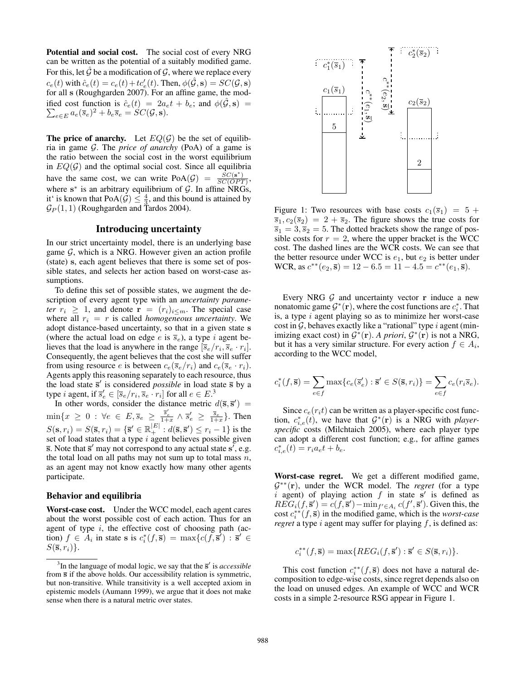Potential and social cost. The social cost of every NRG can be written as the potential of a suitably modified game. For this, let  $\hat{G}$  be a modification of  $\hat{G}$ , where we replace every  $c_e(t)$  with  $\hat{c}_e(t) = c_e(t) + t c'_e(t)$ . Then,  $\phi(\hat{G}, \mathbf{s}) = SC(\mathcal{G}, \mathbf{s})$ for all s (Roughgarden 2007). For an affine game, the modified cost function is  $\hat{c}_e(t) = 2a_e t + b_e$ ; and  $\phi(\hat{G}, \mathbf{s}) = \sum_{e \in E} a_e(\overline{s}_e)^2 + b_e \overline{s}_e = SC(\mathcal{G}, \mathbf{s}).$ 

The price of anarchy. Let  $EQ(\mathcal{G})$  be the set of equilibria in game G. The *price of anarchy* (PoA) of a game is the ratio between the social cost in the worst equilibrium in  $EQ(\mathcal{G})$  and the optimal social cost. Since all equilibria have the same cost, we can write  $PoA(\mathcal{G}) = \frac{\hat{SC}(s^*)}{SC(\hat{OP}^T)}$  $\frac{SC(S)}{SC(OPT)}$ , where  $s^*$  is an arbitrary equilibrium of  $\mathcal{G}$ . In affine NRGs, it' is known that  $PoA(\mathcal{G}) \leq \frac{4}{3}$ , and this bound is attained by  $\mathcal{G}_P(1,1)$  (Roughgarden and Tardos 2004).

## Introducing uncertainty

In our strict uncertainty model, there is an underlying base game  $G$ , which is a NRG. However given an action profile (state) s, each agent believes that there is some set of possible states, and selects her action based on worst-case assumptions.

To define this set of possible states, we augment the description of every agent type with an *uncertainty parameter*  $r_i \geq 1$ , and denote  $\mathbf{r} = (r_i)_{i \leq m}$ . The special case where all  $r_i = r$  is called *homogeneous uncertainty*. We adopt distance-based uncertainty, so that in a given state s (where the actual load on edge e is  $\overline{s}_e$ ), a type i agent believes that the load is anywhere in the range  $[\bar{s}_e/r_i, \bar{s}_e \cdot r_i]$ . Consequently, the agent believes that the cost she will suffer from using resource e is between  $c_e(\overline{s}_e/r_i)$  and  $c_e(\overline{s}_e \cdot r_i)$ . Agents apply this reasoning separately to each resource, thus the load state  $\bar{s}'$  is considered *possible* in load state  $\bar{s}$  by a type *i* agent, if  $\overline{s}'_e \in [\overline{s}_e/r_i, \overline{s}_e \cdot r_i]$  for all  $e \in E^3$ .

In other words, consider the distance metric  $d(\overline{s}, \overline{s}') =$  $\min\{x \geq 0 : \forall e \in E, \overline{s}_e \geq \frac{\overline{s}_e'}{1+x} \wedge \overline{s}_e' \geq \frac{\overline{s}_e}{1+x}\}.$  Then  $S(\mathbf{s}, r_i) = S(\bar{\mathbf{s}}, r_i) = \{\bar{\mathbf{s}}' \in \mathbb{R}_+^{|E|} : d(\bar{\mathbf{s}}, \bar{\mathbf{s}}') \le r_i - 1\}$  is the set of load states that a type  $i$  agent believes possible given  $\overline{s}$ . Note that  $\overline{s}'$  may not correspond to any actual state  $s'$ , e.g. the total load on all paths may not sum up to total mass  $n$ , as an agent may not know exactly how many other agents participate.

#### Behavior and equilibria

Worst-case cost. Under the WCC model, each agent cares about the worst possible cost of each action. Thus for an agent of type  $i$ , the effective cost of choosing path (action)  $f \in A_i$  in state s is  $c_i^*(f, \bar{s}) = \max\{c(f, \bar{s}') : \bar{s}' \in A_i\}$  $S(\bar{s}, r_i)$ .



Figure 1: Two resources with base costs  $c_1(\overline{s}_1) = 5 +$  $\overline{s}_1, c_2(\overline{s}_2) = 2 + \overline{s}_2$ . The figure shows the true costs for  $\overline{s}_1 = 3, \overline{s}_2 = 5$ . The dotted brackets show the range of possible costs for  $r = 2$ , where the upper bracket is the WCC cost. The dashed lines are the WCR costs. We can see that the better resource under WCC is  $e_1$ , but  $e_2$  is better under WCR, as  $c^{**}(e_2, \bar{s}) = 12 - 6.5 = 11 - 4.5 = c^{**}(e_1, \bar{s}).$ 

Every NRG  $G$  and uncertainty vector  $r$  induce a new nonatomic game  $\mathcal{G}^*(\mathbf{r})$ , where the cost functions are  $c_i^*$ . That is, a type i agent playing so as to minimize her worst-case cost in  $G$ , behaves exactly like a "rational" type i agent (minimizing exact cost) in  $G^*(\mathbf{r})$ . *A priori*,  $G^*(\mathbf{r})$  is not a NRG, but it has a very similar structure. For every action  $f \in A_i$ , according to the WCC model,

$$
c_i^*(f, \overline{\mathbf{s}}) = \sum_{e \in f} \max \{ c_e(\overline{s}'_e) : \overline{\mathbf{s}}' \in S(\overline{\mathbf{s}}, r_i) \} = \sum_{e \in f} c_e(r_i \overline{s}_e).
$$

Since  $c_e(r_i t)$  can be written as a player-specific cost function,  $c_{i,e}^*(t)$ , we have that  $G^*(r)$  is a NRG with *playerspecific* costs (Milchtaich 2005), where each player type can adopt a different cost function; e.g., for affine games  $c_{i,e}^*(t) = r_i a_e t + b_e.$ 

Worst-case regret. We get a different modified game, G ∗∗(r), under the WCR model. The *regret* (for a type i agent) of playing action  $f$  in state  $s'$  is defined as  $REG_i(f, \bar{s}') = c(f, \bar{s}') - \min_{f' \in A_i} c(f', \bar{s}')$ . Given this, the cost  $c_i^{**}(f, \overline{s})$  in the modified game, which is the *worst-case regret* a type  $i$  agent may suffer for playing  $f$ , is defined as:

$$
c_i^{**}(f, \overline{\mathbf{s}}) = \max\{REG_i(f, \overline{\mathbf{s}}') : \overline{\mathbf{s}}' \in S(\overline{\mathbf{s}}, r_i)\}.
$$

This cost function  $c_i^{**}(f, \overline{s})$  does not have a natural decomposition to edge-wise costs, since regret depends also on the load on unused edges. An example of WCC and WCR costs in a simple 2-resource RSG appear in Figure 1.

 $3$ In the language of modal logic, we say that the  $\bar{s}'$  is *accessible* from  $\bar{s}$  if the above holds. Our accessibility relation is symmetric, but non-transitive. While transitivity is a well accepted axiom in epistemic models (Aumann 1999), we argue that it does not make sense when there is a natural metric over states.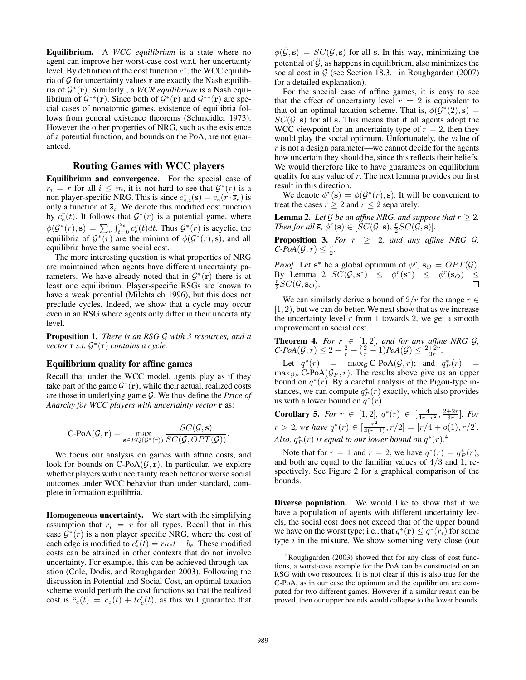Equilibrium. A *WCC equilibrium* is a state where no agent can improve her worst-case cost w.r.t. her uncertainty level. By definition of the cost function  $c^*$ , the WCC equilibria of  $G$  for uncertainty values  $\bf{r}$  are exactly the Nash equilibria of G ∗ (r). Similarly , a *WCR equilibrium* is a Nash equilibrium of  $G^{**}(\mathbf{r})$ . Since both of  $G^{*}(\mathbf{r})$  and  $G^{**}(\mathbf{r})$  are special cases of nonatomic games, existence of equilibria follows from general existence theorems (Schmeidler 1973). However the other properties of NRG, such as the existence of a potential function, and bounds on the PoA, are not guaranteed.

## Routing Games with WCC players

Equilibrium and convergence. For the special case of  $r_i = r$  for all  $i \leq m$ , it is not hard to see that  $\mathcal{G}^*(r)$  is a non player-specific NRG. This is since  $c_{e,i}^*(\bar{s}) = c_e(r \cdot \bar{s}_e)$  is only a function of  $\overline{s}_e$ . We denote this modified cost function by  $c_e^r(t)$ . It follows that  $\mathcal{G}^*(r)$  is a potential game, where  $\phi(\mathcal{G}^*(r), \mathbf{s}) = \sum_{e} \int_{t=0}^{\overline{s}_e} c_e^r(t) dt$ . Thus  $\mathcal{G}^*(r)$  is acyclic, the equilibria of  $G^*(r)$  are the minima of  $\phi(G^*(r), s)$ , and all equilibria have the same social cost.

The more interesting question is what properties of NRG are maintained when agents have different uncertainty parameters. We have already noted that in  $\mathcal{G}^*(\mathbf{r})$  there is at least one equilibrium. Player-specific RSGs are known to have a weak potential (Milchtaich 1996), but this does not preclude cycles. Indeed, we show that a cycle may occur even in an RSG where agents only differ in their uncertainty level.

Proposition 1. *There is an RSG* G *with 3 resources, and a vector* r *s.t.* G ∗ (r) *contains a cycle.*

### Equilibrium quality for affine games

Recall that under the WCC model, agents play as if they take part of the game  $\mathcal{G}^*(\mathbf{r})$ , while their actual, realized costs are those in underlying game G. We thus define the *Price of Anarchy for WCC players with uncertainty vector* r as:

$$
\operatorname{C-PoA}(\mathcal{G}, \mathbf{r}) = \max_{\mathbf{s} \in EQ(\mathcal{G}^*(\mathbf{r}))} \frac{SC(\mathcal{G}, \mathbf{s})}{SC(\mathcal{G}, OPT(\mathcal{G}))}.
$$

We focus our analysis on games with affine costs, and look for bounds on  $C\text{-PoA}(\mathcal{G}, \mathbf{r})$ . In particular, we explore whether players with uncertainty reach better or worse social outcomes under WCC behavior than under standard, complete information equilibria.

Homogeneous uncertainty. We start with the simplifying assumption that  $r_i = r$  for all types. Recall that in this case  $\overline{\mathcal{G}}^*(r)$  is a non player specific NRG, where the cost of each edge is modified to  $c_e^r(\bar{t}) = ra_e t + b_e$ . These modified costs can be attained in other contexts that do not involve uncertainty. For example, this can be achieved through taxation (Cole, Dodis, and Roughgarden 2003). Following the discussion in Potential and Social Cost, an optimal taxation scheme would perturb the cost functions so that the realized cost is  $\hat{c}_e(t) = c_e(t) + t c'_e(t)$ , as this will guarantee that

 $\phi(\hat{\mathcal{G}}, s) = SC(\mathcal{G}, s)$  for all s. In this way, minimizing the potential of  $\mathcal G$ , as happens in equilibrium, also minimizes the social cost in  $G$  (see Section 18.3.1 in Roughgarden (2007) for a detailed explanation).

For the special case of affine games, it is easy to see that the effect of uncertainty level  $r = 2$  is equivalent to that of an optimal taxation scheme. That is,  $\phi(\hat{\mathcal{G}}^{*}(2), s) =$  $SC(\mathcal{G}, s)$  for all s. This means that if all agents adopt the WCC viewpoint for an uncertainty type of  $r = 2$ , then they would play the social optimum. Unfortunately, the value of r is not a design parameter—we cannot decide for the agents how uncertain they should be, since this reflects their beliefs. We would therefore like to have guarantees on equilibrium quality for any value of  $r$ . The next lemma provides our first result in this direction.

We denote  $\phi^r(s) = \phi(\mathcal{G}^*(r), s)$ . It will be convenient to treat the cases  $r > 2$  and  $r < 2$  separately.

**Lemma 2.** Let G be an affine NRG, and suppose that  $r \geq 2$ . *Then for all*  $\bar{\mathbf{s}}, \phi^r(\mathbf{s}) \in [\tilde{S}C(\mathcal{G}, \mathbf{s}), \frac{r}{2}SC(\tilde{\mathcal{G}}, \mathbf{s})].$ 

**Proposition 3.** *For*  $r \geq 2$ *, and any affine NRG G,*  $C\text{-}PoA(\mathcal{G}, r) \leq \frac{r}{2}.$ 

*Proof.* Let  $s^*$  be a global optimum of  $\phi^r$ ,  $s_O = OPT(\mathcal{G})$ . By Lemma 2  $\overline{SC}(\mathcal{G}, \mathbf{s}^*) \leq \phi^r(\mathbf{s}^*) \leq \phi^r(\mathbf{s}_0) \leq$  $\frac{r}{2}SC(\mathcal{G}, \mathbf{s}_O).$ 

We can similarly derive a bound of  $2/r$  for the range  $r \in$  $[1, 2)$ , but we can do better. We next show that as we increase the uncertainty level  $r$  from 1 towards 2, we get a smooth improvement in social cost.

**Theorem 4.** For  $r \in [1, 2]$ , and for any affine NRG  $\mathcal{G}$ ,  $C\text{-}PoA(\mathcal{G}, r) \leq 2 - \frac{2}{r} + \left(\frac{2}{r} - 1\right)PoA(\mathcal{G}) \leq \frac{2+2r}{3r}.$ 

Let  $q^*(r)$  =  $\max_{\mathcal{G}} C\text{-PoA}(\mathcal{G}, r)$ ; and  $q^*_P(r)$  =  $\max_{\mathcal{G}_P} C\text{-PoA}(\mathcal{G}_P, r)$ . The results above give us an upper bound on  $q^*(r)$ . By a careful analysis of the Pigou-type instances, we can compute  $q_P^*(r)$  exactly, which also provides us with a lower bound on  $q^*(r)$ .

**Corollary 5.** *For*  $r \in [1, 2]$ ,  $q^*(r) \in [\frac{4}{4r-r^2}, \frac{2+2r}{3r}]$ *. For*  $r > 2$ , we have  $q^*(r) \in [\frac{r^2}{4(r-1)}, r/2] = [r/4 + o(1), r/2].$ Also,  $q_P^*(r)$  is equal to our lower bound on  $q^*(r)$ .<sup>4</sup>

Note that for  $r = 1$  and  $r = 2$ , we have  $q^*(r) = q_P^*(r)$ , and both are equal to the familiar values of  $4/3$  and 1, respectively. See Figure 2 for a graphical comparison of the bounds.

Diverse population. We would like to show that if we have a population of agents with different uncertainty levels, the social cost does not exceed that of the upper bound we have on the worst type; i.e., that  $q^*(\mathbf{r}) \leq q^*(r_i)$  for some type  $i$  in the mixture. We show something very close (our

 ${}^{4}$ Roughgarden (2003) showed that for any class of cost functions, a worst-case example for the PoA can be constructed on an RSG with two resources. It is not clear if this is also true for the C-PoA, as in our case the optimum and the equilibrium are computed for two different games. However if a similar result can be proved, then our upper bounds would collapse to the lower bounds.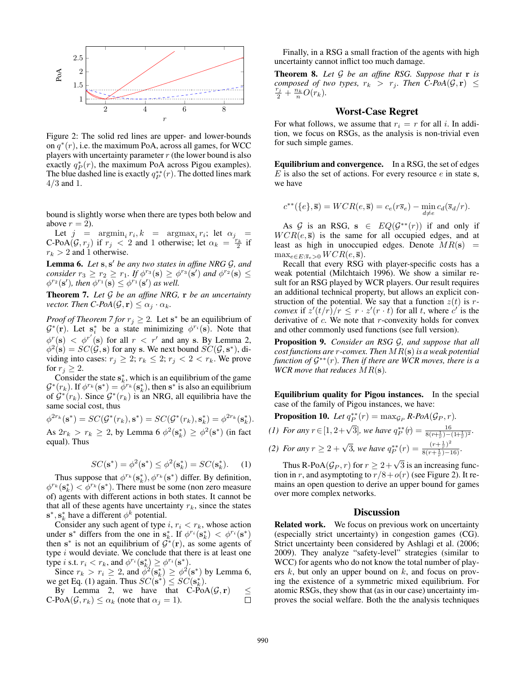

Figure 2: The solid red lines are upper- and lower-bounds on  $q^*(r)$ , i.e. the maximum PoA, across all games, for WCC players with uncertainty parameter  $r$  (the lower bound is also exactly  $q_P^*(r)$ , the maximum PoA across Pigou examples). The blue dashed line is exactly  $q_P^{**}(r)$ . The dotted lines mark  $4/3$  and 1.

bound is slightly worse when there are types both below and above  $r = 2$ ).

Let  $j = \argmin_i r_i, k = \argmax_i r_i$ ; let  $\alpha_j =$ C-PoA $(\mathcal{G}, r_j)$  if  $r_j < 2$  and 1 otherwise; let  $\alpha_k = \frac{r_k}{2}$  if  $r_k > 2$  and 1 otherwise.

Lemma 6. Let  $s$ ,  $s'$  be any two states in affine NRG  $\mathcal{G}$ , and *consider*  $r_3 \ge r_2 \ge r_1$ *. If*  $\phi^{r_3}(s) \ge \phi^{r_3}(s')$  and  $\phi^{r_2}(s) \le$  $\phi^{r_2}(\mathbf{s}')$ , then  $\phi^{r_1}(\mathbf{s}) \leq \phi^{r_1}(\mathbf{s}')$  as well.

Theorem 7. *Let* G *be an affine NRG,* r *be an uncertainty vector. Then*  $C\text{-}PoA(\mathcal{G}, \mathbf{r}) \leq \alpha_j \cdot \alpha_k$ .

*Proof of Theorem 7 for*  $r_j \geq 2$ . Let s<sup>\*</sup> be an equilibrium of  $\mathcal{G}^*(\mathbf{r})$ . Let  $\mathbf{s}_i^*$  be a state minimizing  $\phi^{r_i}(\mathbf{s})$ . Note that  $\phi^r(\mathbf{s}) < \phi^{r'}(\mathbf{s})$  for all  $r < r'$  and any s. By Lemma 2,  $\phi^2(\mathbf{s}) = \dot{SC}(\mathcal{G}, \mathbf{s})$  for any s. We next bound  $\dot{SC}(\mathcal{G}, \mathbf{s}^*)$ , dividing into cases:  $r_j \geq 2$ ;  $r_k \leq 2$ ;  $r_j < 2 < r_k$ . We prove for  $r_j \geq 2$ .

Consider the state  $s_k^*$ , which is an equilibrium of the game  $\mathcal{G}^*(r_k)$ . If  $\phi^{r_k}(\mathbf{s}^*) = \phi^{r_k}(\mathbf{s}^*_k)$ , then  $\mathbf{s}^*$  is also an equilibrium of  $G^*(r_k)$ . Since  $G^*(r_k)$  is an NRG, all equilibria have the same social cost, thus

$$
\phi^{2r_k}(\mathbf{s}^*) = SC(\mathcal{G}^*(r_k), \mathbf{s}^*) = SC(\mathcal{G}^*(r_k), \mathbf{s}^*_k) = \phi^{2r_k}(\mathbf{s}^*_k).
$$
As  $2r_k > r_k \ge 2$ , by Lemma 6  $\phi^2(\mathbf{s}^*_k) \ge \phi^2(\mathbf{s}^*)$  (in fact equal). Thus

$$
SC(\mathbf{s}^*) = \phi^2(\mathbf{s}^*) \le \phi^2(\mathbf{s}_k^*) = SC(\mathbf{s}_k^*). \tag{1}
$$

Thus suppose that  $\phi^{r_k}(s_k^*), \phi^{r_k}(s^*)$  differ. By definition,  $\phi^{r_k}(\mathbf{s}_k^*) < \phi^{r_k}(\mathbf{s}^*)$ . There must be some (non zero measure of) agents with different actions in both states. It cannot be that all of these agents have uncertainty  $r_k$ , since the states  $\mathbf{s}^*, \mathbf{s}_k^*$  have a different  $\phi^k$  potential.

Consider any such agent of type i,  $r_i < r_k$ , whose action under s<sup>\*</sup> differs from the one in  $\mathbf{s}_k^*$ . If  $\phi^{r_i}(\mathbf{s}_k^*) < \phi^{r_i}(\mathbf{s}^*)$ then s<sup>\*</sup> is not an equilibrium of  $G^*(\mathbf{r})$ , as some agents of type  $i$  would deviate. We conclude that there is at least one type *i* s.t.  $r_i < r_k$ , and  $\phi^{r_i}(\mathbf{s}_k^*) \geq \phi^{r_i}(\mathbf{s}^*)$ .

Since  $r_k > r_i \ge 2$ , and  $\phi^2(\mathbf{s}_k^*) \ge \phi^2(\mathbf{s}^*)$  by Lemma 6, we get Eq. (1) again. Thus  $SC(s^*) \leq SC(s_k^*)$ .

By Lemma 2, we have that C-PoA
$$
(\mathcal{G}, \mathbf{r}) \leq
$$
  
C-PoA $(\mathcal{G}, r_k) \leq \alpha_k$  (note that  $\alpha_j = 1$ ).

Finally, in a RSG a small fraction of the agents with high uncertainty cannot inflict too much damage.

Theorem 8. *Let* G *be an affine RSG. Suppose that* r *is composed of two types,*  $r_k > r_j$ *. Then C-PoA*( $\mathcal{G}, \mathbf{r}$ )  $\leq$  $\frac{r_j}{2} + \frac{n_k}{n}O(r_k)$ .

### Worst-Case Regret

For what follows, we assume that  $r_i = r$  for all i. In addition, we focus on RSGs, as the analysis is non-trivial even for such simple games.

Equilibrium and convergence. In a RSG, the set of edges  $E$  is also the set of actions. For every resource  $e$  in state s, we have

$$
c^{**}(\{e\}, \overline{\mathbf{s}}) = WCR(e, \overline{\mathbf{s}}) = c_e(r\overline{s}_e) - \min_{d \neq e} c_d(\overline{s}_d/r).
$$

As G is an RSG,  $s \in EQ(G^{**}(r))$  if and only if  $WCR(e, \bar{s})$  is the same for all occupied edges, and at least as high in unoccupied edges. Denote  $MR(s)$  =  $\max_{e \in E: \overline{s}_e > 0} WCR(e, \overline{s}).$ 

Recall that every RSG with player-specific costs has a weak potential (Milchtaich 1996). We show a similar result for an RSG played by WCR players. Our result requires an additional technical property, but allows an explicit construction of the potential. We say that a function  $z(t)$  is r*convex* if  $z'(t/r)/r \leq r \cdot z'(r \cdot t)$  for all t, where c' is the derivative of  $c$ . We note that  $r$ -convexity holds for convex and other commonly used functions (see full version).

Proposition 9. *Consider an RSG* G*, and suppose that all cost functions are* r*-convex. Then* MR(s) *is a weak potential function of* G ∗∗(r)*. Then if there are WCR moves, there is a WCR move that reduces* MR(s)*.*

Equilibrium quality for Pigou instances. In the special case of the family of Pigou instances, we have:

**Proposition 10.** Let  $q_P^{**}(r) = \max_{\mathcal{G}_P} R\text{-PoA}(\mathcal{G}_P, r)$ .

(1) For any  $r \in [1, 2 + \sqrt{3}]$ , we have  $q_P^{**}(r) = \frac{16}{8(r + \frac{1}{r}) - (1 + \frac{1}{r})^2}$ .

(2) For any 
$$
r \ge 2 + \sqrt{3}
$$
, we have  $q_P^{**}(r) = \frac{(r + \frac{1}{r})^2}{8(r + \frac{1}{r}) - 16}$ .

Thus R-PoA $(\mathcal{G}_P, r)$  for  $r \geq 2 + \sqrt{3}$  is an increasing function in r, and asymptoting to  $r/8 + o(r)$  (see Figure 2). It remains an open question to derive an upper bound for games over more complex networks.

### **Discussion**

Related work. We focus on previous work on uncertainty (especially strict uncertainty) in congestion games (CG). Strict uncertainty been considered by Ashlagi et al. (2006; 2009). They analyze "safety-level" strategies (similar to WCC) for agents who do not know the total number of players  $k$ , but only an upper bound on  $k$ , and focus on proving the existence of a symmetric mixed equilibrium. For atomic RSGs, they show that (as in our case) uncertainty improves the social welfare. Both the the analysis techniques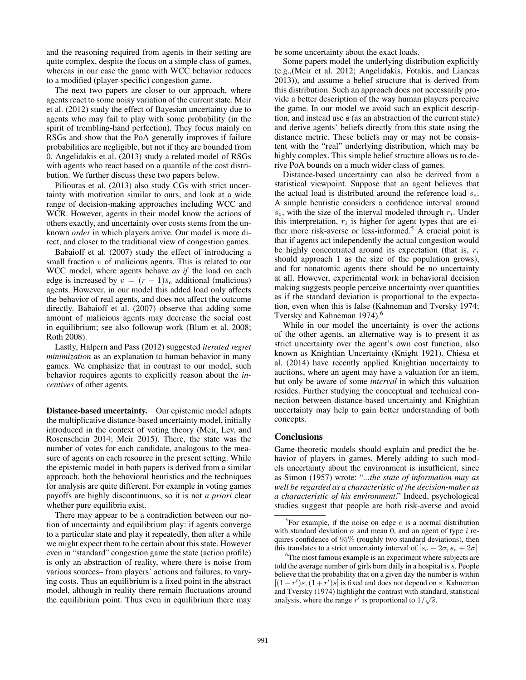and the reasoning required from agents in their setting are quite complex, despite the focus on a simple class of games, whereas in our case the game with WCC behavior reduces to a modified (player-specific) congestion game.

The next two papers are closer to our approach, where agents react to some noisy variation of the current state. Meir et al. (2012) study the effect of Bayesian uncertainty due to agents who may fail to play with some probability (in the spirit of trembling-hand perfection). They focus mainly on RSGs and show that the PoA generally improves if failure probabilities are negligible, but not if they are bounded from 0. Angelidakis et al. (2013) study a related model of RSGs with agents who react based on a quantile of the cost distribution. We further discuss these two papers below.

Piliouras et al. (2013) also study CGs with strict uncertainty with motivation similar to ours, and look at a wide range of decision-making approaches including WCC and WCR. However, agents in their model know the actions of others exactly, and uncertainty over costs stems from the unknown *order* in which players arrive. Our model is more direct, and closer to the traditional view of congestion games.

Babaioff et al. (2007) study the effect of introducing a small fraction  $v$  of malicious agents. This is related to our WCC model, where agents behave *as if* the load on each edge is increased by  $v = (r - 1)\overline{s}_e$  additional (malicious) agents. However, in our model this added load only affects the behavior of real agents, and does not affect the outcome directly. Babaioff et al. (2007) observe that adding some amount of malicious agents may decrease the social cost in equilibrium; see also followup work (Blum et al. 2008; Roth 2008).

Lastly, Halpern and Pass (2012) suggested *iterated regret minimization* as an explanation to human behavior in many games. We emphasize that in contrast to our model, such behavior requires agents to explicitly reason about the *incentives* of other agents.

Distance-based uncertainty. Our epistemic model adapts the multiplicative distance-based uncertainty model, initially introduced in the context of voting theory (Meir, Lev, and Rosenschein 2014; Meir 2015). There, the state was the number of votes for each candidate, analogous to the measure of agents on each resource in the present setting. While the epistemic model in both papers is derived from a similar approach, both the behavioral heuristics and the techniques for analysis are quite different. For example in voting games payoffs are highly discontinuous, so it is not *a priori* clear whether pure equilibria exist.

There may appear to be a contradiction between our notion of uncertainty and equilibrium play: if agents converge to a particular state and play it repeatedly, then after a while we might expect them to be certain about this state. However even in "standard" congestion game the state (action profile) is only an abstraction of reality, where there is noise from various sources– from players' actions and failures, to varying costs. Thus an equilibrium is a fixed point in the abstract model, although in reality there remain fluctuations around the equilibrium point. Thus even in equilibrium there may be some uncertainty about the exact loads.

Some papers model the underlying distribution explicitly (e.g.,(Meir et al. 2012; Angelidakis, Fotakis, and Lianeas 2013)), and assume a belief structure that is derived from this distribution. Such an approach does not necessarily provide a better description of the way human players perceive the game. In our model we avoid such an explicit description, and instead use s (as an abstraction of the current state) and derive agents' beliefs directly from this state using the distance metric. These beliefs may or may not be consistent with the "real" underlying distribution, which may be highly complex. This simple belief structure allows us to derive PoA bounds on a much wider class of games.

Distance-based uncertainty can also be derived from a statistical viewpoint. Suppose that an agent believes that the actual load is distributed around the reference load  $\bar{s}_e$ . A simple heuristic considers a confidence interval around  $\overline{s}_e$ , with the size of the interval modeled through  $r_i$ . Under this interpretation,  $r_i$  is higher for agent types that are either more risk-averse or less-informed.<sup>5</sup> A crucial point is that if agents act independently the actual congestion would be highly concentrated around its expectation (that is,  $r_i$ ) should approach 1 as the size of the population grows), and for nonatomic agents there should be no uncertainty at all. However, experimental work in behavioral decision making suggests people perceive uncertainty over quantities as if the standard deviation is proportional to the expectation, even when this is false (Kahneman and Tversky 1974; Tversky and Kahneman 1974).<sup>6</sup>

While in our model the uncertainty is over the actions of the other agents, an alternative way is to present it as strict uncertainty over the agent's own cost function, also known as Knightian Uncertainty (Knight 1921). Chiesa et al. (2014) have recently applied Knightian uncertainty to auctions, where an agent may have a valuation for an item, but only be aware of some *interval* in which this valuation resides. Further studying the conceptual and technical connection between distance-based uncertainty and Knightian uncertainty may help to gain better understanding of both concepts.

### **Conclusions**

Game-theoretic models should explain and predict the behavior of players in games. Merely adding to such models uncertainty about the environment is insufficient, since as Simon (1957) wrote: "*...the state of information may as well be regarded as a characteristic of the decision-maker as a characteristic of his environment*." Indeed, psychological studies suggest that people are both risk-averse and avoid

<sup>&</sup>lt;sup>5</sup>For example, if the noise on edge  $e$  is a normal distribution with standard deviation  $\sigma$  and mean 0, and an agent of type i requires confidence of 95% (roughly two standard deviations), then this translates to a strict uncertainty interval of  $[\bar{s}_e - 2\sigma, \bar{s}_e + 2\sigma]$ 

<sup>&</sup>lt;sup>6</sup>The most famous example is an experiment where subjects are told the average number of girls born daily in a hospital is s. People believe that the probability that on a given day the number is within  $[(1-r')s, (1+r')s]$  is fixed and does not depend on s. Kahneman and Tversky (1974) highlight the contrast with standard, statistical √ analysis, where the range r' is proportional to  $1/\sqrt{s}$ .